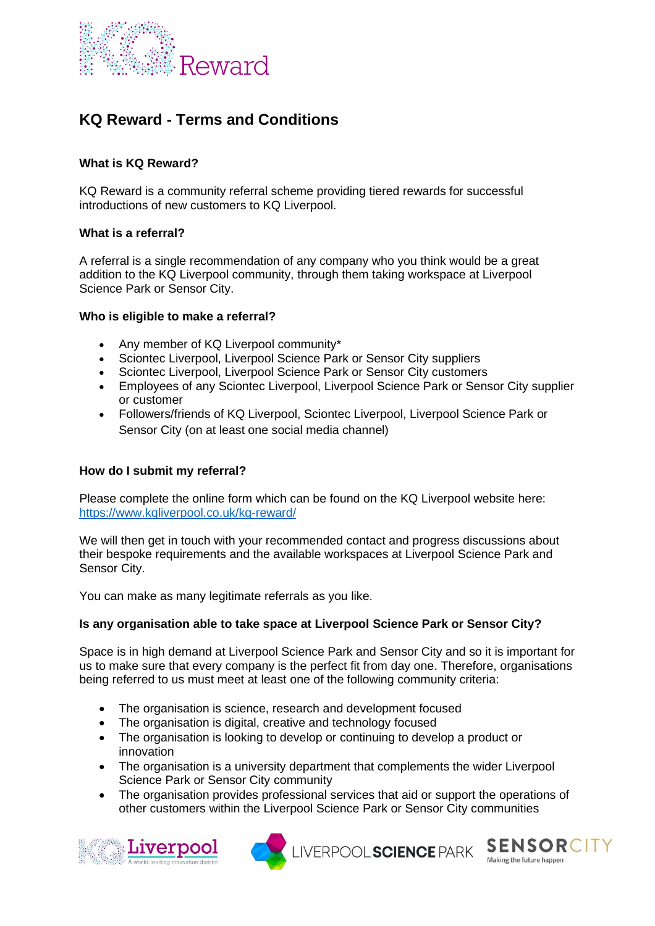

# **KQ Reward - Terms and Conditions**

## **What is KQ Reward?**

KQ Reward is a community referral scheme providing tiered rewards for successful introductions of new customers to KQ Liverpool.

## **What is a referral?**

A referral is a single recommendation of any company who you think would be a great addition to the KQ Liverpool community, through them taking workspace at Liverpool Science Park or Sensor City.

#### **Who is eligible to make a referral?**

- Any member of KQ Liverpool community\*
- Sciontec Liverpool, Liverpool Science Park or Sensor City suppliers
- Sciontec Liverpool, Liverpool Science Park or Sensor City customers
- Employees of any Sciontec Liverpool, Liverpool Science Park or Sensor City supplier or customer
- Followers/friends of KQ Liverpool, Sciontec Liverpool, Liverpool Science Park or Sensor City (on at least one social media channel)

## **How do I submit my referral?**

Please complete the online form which can be found on the KQ Liverpool website here: <https://www.kqliverpool.co.uk/kq-reward/>

We will then get in touch with your recommended contact and progress discussions about their bespoke requirements and the available workspaces at Liverpool Science Park and Sensor City.

You can make as many legitimate referrals as you like.

## **Is any organisation able to take space at Liverpool Science Park or Sensor City?**

Space is in high demand at Liverpool Science Park and Sensor City and so it is important for us to make sure that every company is the perfect fit from day one. Therefore, organisations being referred to us must meet at least one of the following community criteria:

- The organisation is science, research and development focused
- The organisation is digital, creative and technology focused
- The organisation is looking to develop or continuing to develop a product or innovation
- The organisation is a university department that complements the wider Liverpool Science Park or Sensor City community
- The organisation provides professional services that aid or support the operations of other customers within the Liverpool Science Park or Sensor City communities





LIVERPOOL SCIENCE PARK